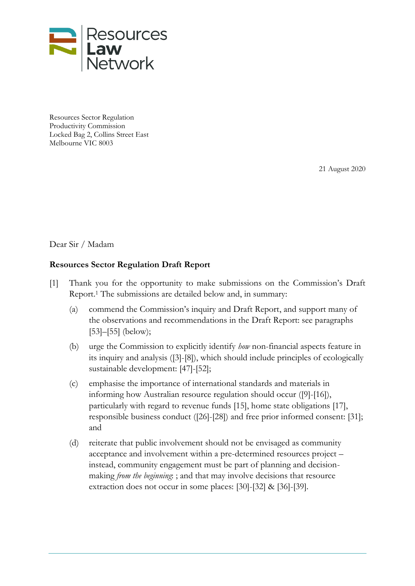

Resources Sector Regulation Productivity Commission Locked Bag 2, Collins Street East Melbourne VIC 8003

21 August 2020

Dear Sir / Madam

### **Resources Sector Regulation Draft Report**

- [1] Thank you for the opportunity to make submissions on the Commission's Draft Report. <sup>1</sup> The submissions are detailed below and, in summary:
	- (a) commend the Commission's inquiry and Draft Report, and support many of the observations and recommendations in the Draft Report: see paragraphs [\[53\]](#page-17-0)–[\[55\]](#page-17-1) (below);
	- (b) urge the Commission to explicitly identify *how* non-financial aspects feature in its inquiry and analysis [\(\[3\]](#page-1-0)[-\[8\]\)](#page-3-0), which should include principles of ecologically sustainable development: [\[47\]](#page-15-0)[-\[52\];](#page-16-0)
	- (c) emphasise the importance of international standards and materials in informing how Australian resource regulation should occur [\(\[9\]](#page-3-1)[-\[16\]\)](#page-6-0), particularly with regard to revenue funds [\[15\],](#page-6-1) home state obligations [\[17\],](#page-6-2) responsible business conduct [\(\[26\]](#page-9-0)[-\[28\]\)](#page-9-1) and free prior informed consent: [\[31\];](#page-10-0) and
	- (d) reiterate that public involvement should not be envisaged as community acceptance and involvement within a pre-determined resources project – instead, community engagement must be part of planning and decisionmaking *from the beginning*: ; and that may involve decisions that resource extraction does not occur in some places: [\[30\]](#page-9-2)[-\[32\]](#page-11-0) & [\[36\]](#page-12-0)[-\[39\].](#page-12-1)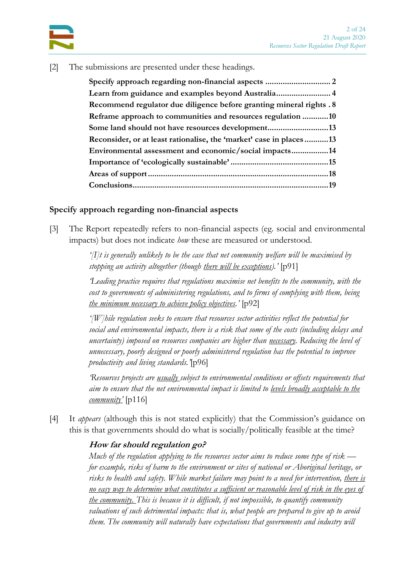

[2] The submissions are presented under these headings.

| Learn from guidance and examples beyond Australia 4                  |  |
|----------------------------------------------------------------------|--|
| Recommend regulator due diligence before granting mineral rights . 8 |  |
| Reframe approach to communities and resources regulation 10          |  |
| Some land should not have resources development13                    |  |
| Reconsider, or at least rationalise, the 'market' case in places13   |  |
| Environmental assessment and economic/social impacts14               |  |
|                                                                      |  |
|                                                                      |  |
|                                                                      |  |

### <span id="page-1-1"></span>**Specify approach regarding non-financial aspects**

<span id="page-1-0"></span>[3] The Report repeatedly refers to non-financial aspects (eg. social and environmental impacts) but does not indicate *how* these are measured or understood.

> *'[I]t is generally unlikely to be the case that net community welfare will be maximised by stopping an activity altogether (though there will be exceptions).'* [p91]

*'Leading practice requires that regulations maximise net benefits to the community, with the cost to governments of administering regulations, and to firms of complying with them, being the minimum necessary to achieve policy objectives.'* [p92]

*'[W]hile regulation seeks to ensure that resources sector activities reflect the potential for social and environmental impacts, there is a risk that some of the costs (including delays and uncertainty) imposed on resources companies are higher than necessary. Reducing the level of unnecessary, poorly designed or poorly administered regulation has the potential to improve productivity and living standards.'*[p96]

*'Resources projects are usually subject to environmental conditions or offsets requirements that aim to ensure that the net environmental impact is limited to levels broadly acceptable to the community'* [p116]

[4] It *appears* (although this is not stated explicitly) that the Commission's guidance on this is that governments should do what is socially/politically feasible at the time?

#### **How far should regulation go?**

*Much of the regulation applying to the resources sector aims to reduce some type of risk for example, risks of harm to the environment or sites of national or Aboriginal heritage, or risks to health and safety. While market failure may point to a need for intervention, there is no easy way to determine what constitutes a sufficient or reasonable level of risk in the eyes of the community. This is because it is difficult, if not impossible, to quantify community valuations of such detrimental impacts: that is, what people are prepared to give up to avoid them. The community will naturally have expectations that governments and industry will*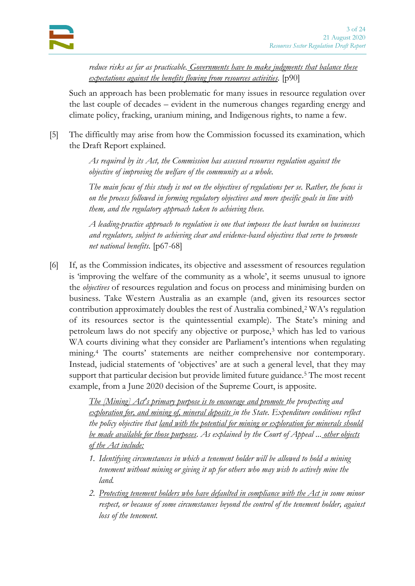*reduce risks as far as practicable. Governments have to make judgments that balance these expectations against the benefits flowing from resources activities.* [p90]

Such an approach has been problematic for many issues in resource regulation over the last couple of decades – evident in the numerous changes regarding energy and climate policy, fracking, uranium mining, and Indigenous rights, to name a few.

[5] The difficultly may arise from how the Commission focussed its examination, which the Draft Report explained.

> *As required by its Act, the Commission has assessed resources regulation against the objective of improving the welfare of the community as a whole.*

*The main focus of this study is not on the objectives of regulations per se. Rather, the focus is on the process followed in forming regulatory objectives and more specific goals in line with them, and the regulatory approach taken to achieving these.*

*A leading-practice approach to regulation is one that imposes the least burden on businesses and regulators, subject to achieving clear and evidence-based objectives that serve to promote net national benefits.* [p67-68]

[6] If, as the Commission indicates, its objective and assessment of resources regulation is 'improving the welfare of the community as a whole', it seems unusual to ignore the *objectives* of resources regulation and focus on process and minimising burden on business. Take Western Australia as an example (and, given its resources sector contribution approximately doubles the rest of Australia combined,<sup>2</sup> WA's regulation of its resources sector is the quintessential example). The State's mining and petroleum laws do not specify any objective or purpose,<sup>3</sup> which has led to various WA courts divining what they consider are Parliament's intentions when regulating mining.<sup>4</sup> The courts' statements are neither comprehensive nor contemporary. Instead, judicial statements of 'objectives' are at such a general level, that they may support that particular decision but provide limited future guidance.<sup>5</sup> The most recent example, from a June 2020 decision of the Supreme Court, is apposite.

> *The [Mining] Act's primary purpose is to encourage and promote the prospecting and exploration for, and mining of, mineral deposits in the State. Expenditure conditions reflect the policy objective that land with the potential for mining or exploration for minerals should be made available for those purposes. As explained by the Court of Appeal ... other objects of the Act include:*

- *1. Identifying circumstances in which a tenement holder will be allowed to hold a mining tenement without mining or giving it up for others who may wish to actively mine the land.*
- *2. Protecting tenement holders who have defaulted in compliance with the Act in some minor respect, or because of some circumstances beyond the control of the tenement holder, against loss of the tenement.*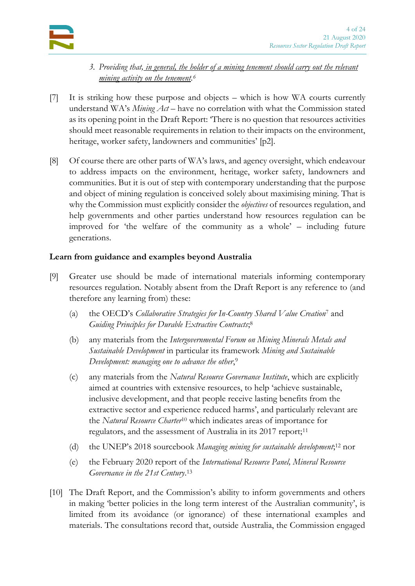

- *3. Providing that, in general, the holder of a mining tenement should carry out the relevant mining activity on the tenement. 6*
- [7] It is striking how these purpose and objects which is how WA courts currently understand WA's *Mining Act* – have no correlation with what the Commission stated as its opening point in the Draft Report: 'There is no question that resources activities should meet reasonable requirements in relation to their impacts on the environment, heritage, worker safety, landowners and communities' [p2].
- <span id="page-3-0"></span>[8] Of course there are other parts of WA's laws, and agency oversight, which endeavour to address impacts on the environment, heritage, worker safety, landowners and communities. But it is out of step with contemporary understanding that the purpose and object of mining regulation is conceived solely about maximising mining. That is why the Commission must explicitly consider the *objectives* of resources regulation, and help governments and other parties understand how resources regulation can be improved for 'the welfare of the community as a whole' – including future generations.

## <span id="page-3-2"></span>**Learn from guidance and examples beyond Australia**

- <span id="page-3-5"></span><span id="page-3-4"></span><span id="page-3-1"></span>[9] Greater use should be made of international materials informing contemporary resources regulation. Notably absent from the Draft Report is any reference to (and therefore any learning from) these:
	- (a) the OECD's *Collaborative Strategies for In-Country Shared Value Creation*<sup>7</sup> and *Guiding Principles for Durable Extractive Contracts*; 8
	- (b) any materials from the *Intergovernmental Forum on Mining Minerals Metals and Sustainable Development* in particular its framework *Mining and Sustainable Development: managing one to advance the other*, 9
	- (c) any materials from the *Natural Resource Governance Institute*, which are explicitly aimed at countries with extensive resources, to help 'achieve sustainable, inclusive development, and that people receive lasting benefits from the extractive sector and experience reduced harms', and particularly relevant are the *Natural Resource Charter*<sup>10</sup> which indicates areas of importance for regulators, and the assessment of Australia in its 2017 report;<sup>11</sup>
	- (d) the UNEP's 2018 sourcebook *Managing mining for sustainable development*; <sup>12</sup> nor
	- (e) the February 2020 report of the *International Resource Panel, Mineral Resource Governance in the 21st Century*. 13
- <span id="page-3-3"></span>[10] The Draft Report, and the Commission's ability to inform governments and others in making 'better policies in the long term interest of the Australian community', is limited from its avoidance (or ignorance) of these international examples and materials. The consultations record that, outside Australia, the Commission engaged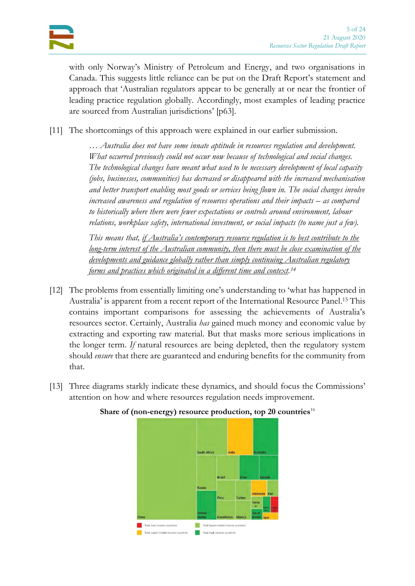with only Norway's Ministry of Petroleum and Energy, and two organisations in Canada. This suggests little reliance can be put on the Draft Report's statement and approach that 'Australian regulators appear to be generally at or near the frontier of leading practice regulation globally. Accordingly, most examples of leading practice are sourced from Australian jurisdictions' [p63].

[11] The shortcomings of this approach were explained in our earlier submission.

*… Australia does not have some innate aptitude in resources regulation and development. What occurred previously could not occur now because of technological and social changes. The technological changes have meant what used to be necessary development of local capacity (jobs, businesses, communities) has decreased or disappeared with the increased mechanisation and better transport enabling most goods or services being flown in. The social changes involve increased awareness and regulation of resources operations and their impacts – as compared to historically where there were fewer expectations or controls around environment, labour relations, workplace safety, international investment, or social impacts (to name just a few).*

<span id="page-4-0"></span>*This means that, if Australia's contemporary resource regulation is to best contribute to the long-term interest of the Australian community, then there must be close examination of the developments and guidance globally rather than simply continuing Australian regulatory forms and practices which originated in a different time and context. 14*

- [12] The problems from essentially limiting one's understanding to 'what has happened in Australia' is apparent from a recent report of the International Resource Panel. <sup>15</sup> This contains important comparisons for assessing the achievements of Australia's resources sector. Certainly, Australia *has* gained much money and economic value by extracting and exporting raw material. But that masks more serious implications in the longer term. *If* natural resources are being depleted, then the regulatory system should *ensure* that there are guaranteed and enduring benefits for the community from that.
- [13] Three diagrams starkly indicate these dynamics, and should focus the Commissions' attention on how and where resources regulation needs improvement.



#### **Share of (non-energy) resource production, top 20 countries**16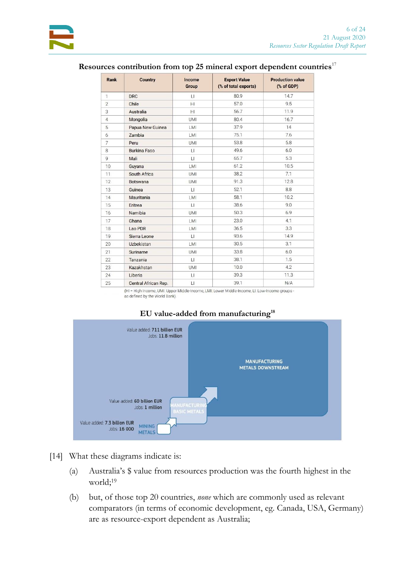| Rank           | <b>Country</b>       | Income<br>Group | <b>Export Value</b><br>(% of total exports) | <b>Production value</b><br>$(% \mathbf{A})$ (% of GDP) |
|----------------|----------------------|-----------------|---------------------------------------------|--------------------------------------------------------|
| 1              | <b>DRC</b>           | $\sqcup$        | 80.9                                        | 14.7                                                   |
| $\overline{2}$ | Chile                | H               | 57.0                                        | 9.5                                                    |
| 3              | Australia            | HI              | 56.7                                        | 11.9                                                   |
| $\overline{4}$ | Mongolia             | <b>UMI</b>      | 80.4                                        | 16.7                                                   |
| 5              | Papua New Guinea     | LMI             | 37.9                                        | 14                                                     |
| 6              | Zambia               | LMI             | 75.1                                        | 7.6                                                    |
| $\overline{7}$ | Peru                 | <b>UMI</b>      | 53.8                                        | 5.8                                                    |
| 8              | <b>Burkina Faso</b>  | П               | 49.6                                        | 6.0                                                    |
| $\overline{9}$ | Mali                 | LI              | 65.7                                        | 53                                                     |
| 10             | Guyana               | LMI             | 61.2                                        | 10.5                                                   |
| 11             | South Africa         | <b>UMI</b>      | 38.2                                        | 7.1                                                    |
| 12             | <b>Botswana</b>      | <b>UMI</b>      | 91.3                                        | 12.8                                                   |
| 13             | Guinea               | $\sqcup$        | 52.1                                        | 8.8                                                    |
| 14             | Mauritania           | LMI             | 58.1                                        | 10.2                                                   |
| 15             | Eritrea              | $\sqcup$        | 38.6                                        | 9.0                                                    |
| 16             | Namibia              | UMI             | 50.3                                        | 6.9                                                    |
| 17             | Ghana                | LMI             | 23.0                                        | 4.1                                                    |
| 18             | Lao PDR              | <b>LMI</b>      | 36.5                                        | 3.3                                                    |
| 19             | Sierra Leone         | $\sqcup$        | 93.6                                        | 14.9                                                   |
| 20             | Uzbekistan           | LMI             | 30.5                                        | 3.1                                                    |
| 21             | Suriname             | <b>UMI</b>      | 33.8                                        | 6.0                                                    |
| 22             | Tanzania             | $\mathsf{L}$    | 38.1                                        | 1.5                                                    |
| 23             | Kazakhstan           | UMI             | 10.0                                        | 4.2                                                    |
| 24             | Liberia              | LI              | 39.3                                        | 11.3                                                   |
| 25             | Central African Rep. | $\mathbf{H}$    | 39.1                                        | N/A                                                    |

### **Resources contribution from top 25 mineral export dependent countries**<sup>17</sup>

(HI = High Income, UMI: Upper Middle-Income, LMI: Lower Middle-Income, LI: Low-Income groups as defined by the World Bank)



#### **EU value-added from manufacturing<sup>18</sup>**

- [14] What these diagrams indicate is:
	- (a) Australia's \$ value from resources production was the fourth highest in the world;<sup>19</sup>
	- (b) but, of those top 20 countries, *none* which are commonly used as relevant comparators (in terms of economic development, eg. Canada, USA, Germany) are as resource-export dependent as Australia;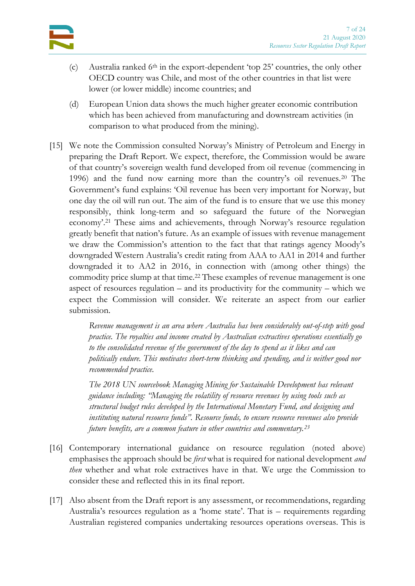

- (c) Australia ranked  $6<sup>th</sup>$  in the export-dependent 'top 25' countries, the only other OECD country was Chile, and most of the other countries in that list were lower (or lower middle) income countries; and
- (d) European Union data shows the much higher greater economic contribution which has been achieved from manufacturing and downstream activities (in comparison to what produced from the mining).
- <span id="page-6-1"></span>[15] We note the Commission consulted Norway's Ministry of Petroleum and Energy in preparing the Draft Report. We expect, therefore, the Commission would be aware of that country's sovereign wealth fund developed from oil revenue (commencing in 1996) and the fund now earning more than the country's oil revenues.<sup>20</sup> The Government's fund explains: 'Oil revenue has been very important for Norway, but one day the oil will run out. The aim of the fund is to ensure that we use this money responsibly, think long-term and so safeguard the future of the Norwegian economy'.<sup>21</sup> These aims and achievements, through Norway's resource regulation greatly benefit that nation's future. As an example of issues with revenue management we draw the Commission's attention to the fact that that ratings agency Moody's downgraded Western Australia's credit rating from AAA to AA1 in 2014 and further downgraded it to AA2 in 2016, in connection with (among other things) the commodity price slump at that time.<sup>22</sup> These examples of revenue management is one aspect of resources regulation – and its productivity for the community – which we expect the Commission will consider. We reiterate an aspect from our earlier submission.

*Revenue management is an area where Australia has been considerably out-of-step with good practice. The royalties and income created by Australian extractives operations essentially go to the consolidated revenue of the government of the day to spend as it likes and can politically endure. This motivates short-term thinking and spending, and is neither good nor recommended practice.*

*The 2018 UN sourcebook Managing Mining for Sustainable Development has relevant guidance including: "Managing the volatility of resource revenues by using tools such as structural budget rules developed by the International Monetary Fund, and designing and instituting natural resource funds". Resource funds, to ensure resource revenues also provide future benefits, are a common feature in other countries and commentary.<sup>23</sup>*

- <span id="page-6-0"></span>[16] Contemporary international guidance on resource regulation (noted above) emphasises the approach should be *first* what is required for national development *and then* whether and what role extractives have in that. We urge the Commission to consider these and reflected this in its final report.
- <span id="page-6-2"></span>[17] Also absent from the Draft report is any assessment, or recommendations, regarding Australia's resources regulation as a 'home state'. That is – requirements regarding Australian registered companies undertaking resources operations overseas. This is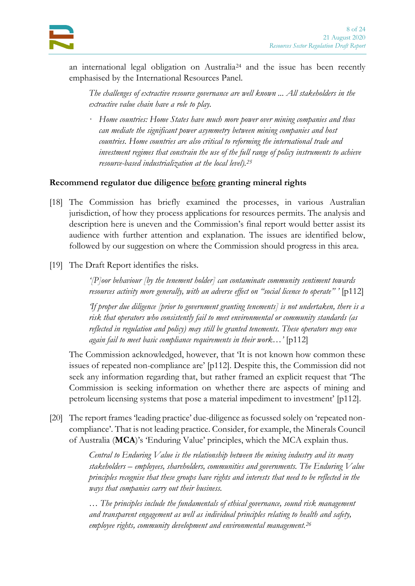an international legal obligation on Australia<sup>24</sup> and the issue has been recently emphasised by the International Resources Panel.

*The challenges of extractive resource governance are well known ... All stakeholders in the extractive value chain have a role to play.*

*· Home countries: Home States have much more power over mining companies and thus can mediate the significant power asymmetry between mining companies and host countries. Home countries are also critical to reforming the international trade and investment regimes that constrain the use of the full range of policy instruments to achieve resource-based industrialization at the local level).<sup>25</sup>*

## <span id="page-7-0"></span>**Recommend regulator due diligence before granting mineral rights**

- [18] The Commission has briefly examined the processes, in various Australian jurisdiction, of how they process applications for resources permits. The analysis and description here is uneven and the Commission's final report would better assist its audience with further attention and explanation. The issues are identified below, followed by our suggestion on where the Commission should progress in this area.
- [19] The Draft Report identifies the risks.

*'[P]oor behaviour [by the tenement holder] can contaminate community sentiment towards resources activity more generally, with an adverse effect on "social licence to operate" '* [p112]

*'If proper due diligence [prior to government granting tenements] is not undertaken, there is a risk that operators who consistently fail to meet environmental or community standards (as reflected in regulation and policy) may still be granted tenements. These operators may once again fail to meet basic compliance requirements in their work…'* [p112]

The Commission acknowledged, however, that 'It is not known how common these issues of repeated non-compliance are' [p112]. Despite this, the Commission did not seek any information regarding that, but rather framed an explicit request that 'The Commission is seeking information on whether there are aspects of mining and petroleum licensing systems that pose a material impediment to investment' [p112].

[20] The report frames 'leading practice' due-diligence as focussed solely on 'repeated noncompliance'. That is not leading practice. Consider, for example, the Minerals Council of Australia (**MCA**)'s 'Enduring Value' principles, which the MCA explain thus.

> *Central to Enduring Value is the relationship between the mining industry and its many stakeholders – employees, shareholders, communities and governments. The Enduring Value principles recognise that these groups have rights and interests that need to be reflected in the ways that companies carry out their business.*

<span id="page-7-1"></span>*… The principles include the fundamentals of ethical governance, sound risk management and transparent engagement as well as individual principles relating to health and safety, employee rights, community development and environmental management.26*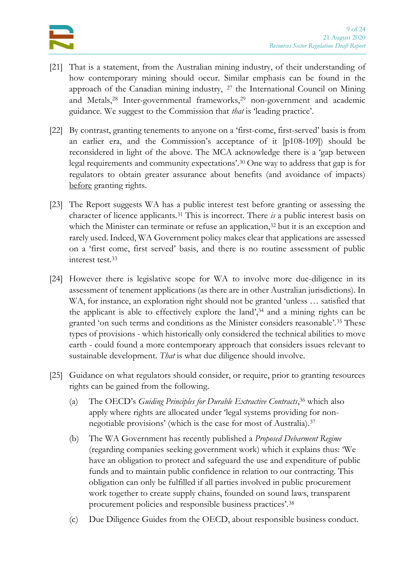- [21] That is a statement, from the Australian mining industry, of their understanding of how contemporary mining should occur. Similar emphasis can be found in the approach of the Canadian mining industry, <sup>27</sup> the International Council on Mining and Metals,<sup>28</sup> Inter-governmental frameworks,<sup>29</sup> non-government and academic guidance. We suggest to the Commission that *that* is 'leading practice'.
- [22] By contrast, granting tenements to anyone on a 'first-come, first-served' basis is from an earlier era, and the Commission's acceptance of it [p108-109]) should be reconsidered in light of the above. The MCA acknowledge there is a 'gap between legal requirements and community expectations'.<sup>30</sup> One way to address that gap is for regulators to obtain greater assurance about benefits (and avoidance of impacts) before granting rights.
- [23] The Report suggests WA has a public interest test before granting or assessing the character of licence applicants.<sup>31</sup> This is incorrect. There *is* a public interest basis on which the Minister can terminate or refuse an application,<sup>32</sup> but it is an exception and rarely used. Indeed, WA Government policy makes clear that applications are assessed on a 'first come, first served' basis, and there is no routine assessment of public interest test.<sup>33</sup>
- [24] However there is legislative scope for WA to involve more due-diligence in its assessment of tenement applications (as there are in other Australian jurisdictions). In WA, for instance, an exploration right should not be granted 'unless … satisfied that the applicant is able to effectively explore the land',<sup>34</sup> and a mining rights can be granted 'on such terms and conditions as the Minister considers reasonable'.<sup>35</sup> These types of provisions - which historically only considered the technical abilities to move earth - could found a more contemporary approach that considers issues relevant to sustainable development. *That* is what due diligence should involve.
- [25] Guidance on what regulators should consider, or require, prior to granting resources rights can be gained from the following.
	- (a) The OECD's *Guiding Principles for Durable Extractive Contracts*, <sup>36</sup> which also apply where rights are allocated under 'legal systems providing for nonnegotiable provisions' (which is the case for most of Australia).<sup>37</sup>
	- (b) The WA Government has recently published a *Proposed Debarment Regime* (regarding companies seeking government work) which it explains thus: 'We have an obligation to protect and safeguard the use and expenditure of public funds and to maintain public confidence in relation to our contracting. This obligation can only be fulfilled if all parties involved in public procurement work together to create supply chains, founded on sound laws, transparent procurement policies and responsible business practices'.<sup>38</sup>
	- (c) Due Diligence Guides from the OECD, about responsible business conduct.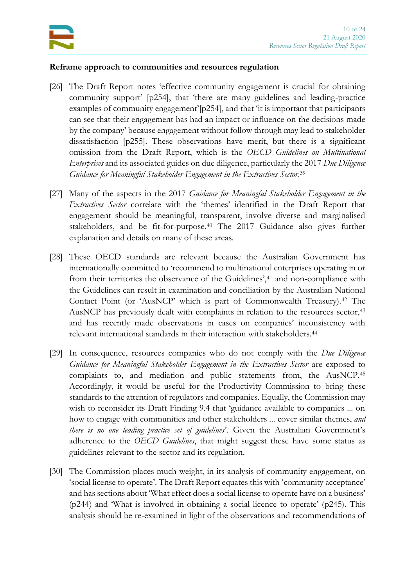

#### <span id="page-9-3"></span>**Reframe approach to communities and resources regulation**

- <span id="page-9-0"></span>[26] The Draft Report notes 'effective community engagement is crucial for obtaining community support' [p254], that 'there are many guidelines and leading-practice examples of community engagement'[p254], and that 'it is important that participants can see that their engagement has had an impact or influence on the decisions made by the company' because engagement without follow through may lead to stakeholder dissatisfaction [p255]. These observations have merit, but there is a significant omission from the Draft Report, which is the *OECD Guidelines on Multinational Enterprises* and its associated guides on due diligence, particularly the 2017 *Due Diligence Guidance for Meaningful Stakeholder Engagement in the Extractives Sector*. 39
- <span id="page-9-5"></span>[27] Many of the aspects in the 2017 *Guidance for Meaningful Stakeholder Engagement in the Extractives Sector* correlate with the 'themes' identified in the Draft Report that engagement should be meaningful, transparent, involve diverse and marginalised stakeholders, and be fit-for-purpose.<sup>40</sup> The 2017 Guidance also gives further explanation and details on many of these areas.
- <span id="page-9-4"></span><span id="page-9-1"></span>[28] These OECD standards are relevant because the Australian Government has internationally committed to 'recommend to multinational enterprises operating in or from their territories the observance of the Guidelines',<sup>41</sup> and non-compliance with the Guidelines can result in examination and conciliation by the Australian National Contact Point (or 'AusNCP' which is part of Commonwealth Treasury).<sup>42</sup> The AusNCP has previously dealt with complaints in relation to the resources sector,<sup>43</sup> and has recently made observations in cases on companies' inconsistency with relevant international standards in their interaction with stakeholders.<sup>44</sup>
- [29] In consequence, resources companies who do not comply with the *Due Diligence Guidance for Meaningful Stakeholder Engagement in the Extractives Sector* are exposed to complaints to, and mediation and public statements from, the AusNCP.<sup>45</sup> Accordingly, it would be useful for the Productivity Commission to bring these standards to the attention of regulators and companies. Equally, the Commission may wish to reconsider its Draft Finding 9.4 that 'guidance available to companies ... on how to engage with communities and other stakeholders ... cover similar themes, *and there is no one leading practice set of guidelines*'. Given the Australian Government's adherence to the *OECD Guidelines*, that might suggest these have some status as guidelines relevant to the sector and its regulation.
- <span id="page-9-2"></span>[30] The Commission places much weight, in its analysis of community engagement, on 'social license to operate'. The Draft Report equates this with 'community acceptance' and has sections about 'What effect does a social license to operate have on a business' (p244) and 'What is involved in obtaining a social licence to operate' (p245). This analysis should be re-examined in light of the observations and recommendations of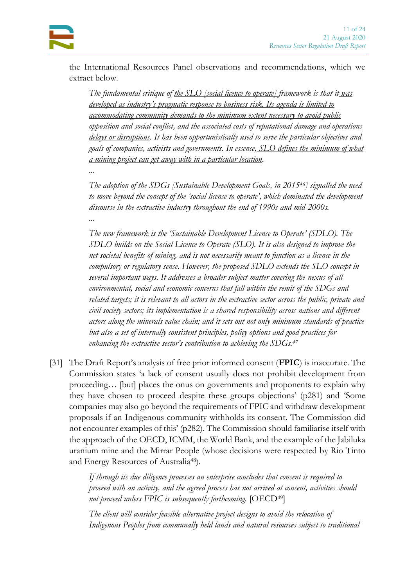the International Resources Panel observations and recommendations, which we extract below.

*The fundamental critique of <u>the SLO</u> [social licence to operate] framework is that it was developed as industry's pragmatic response to business risk. Its agenda is limited to accommodating community demands to the minimum extent necessary to avoid public opposition and social conflict, and the associated costs of reputational damage and operations delays or disruptions. It has been opportunistically used to serve the particular objectives and goals of companies, activists and governments. In essence, SLO defines the minimum of what a mining project can get away with in a particular location.*

*...*

*The adoption of the SDGs [Sustainable Development Goals, in 201546] signalled the need to move beyond the concept of the 'social license to operate', which dominated the development discourse in the extractive industry throughout the end of 1990s and mid-2000s. ...*

*The new framework is the 'Sustainable Development Licence to Operate' (SDLO). The SDLO builds on the Social Licence to Operate (SLO). It is also designed to improve the net societal benefits of mining, and is not necessarily meant to function as a licence in the compulsory or regulatory sense. However, the proposed SDLO extends the SLO concept in several important ways. It addresses a broader subject matter covering the nexus of all environmental, social and economic concerns that fall within the remit of the SDGs and related targets; it is relevant to all actors in the extractive sector across the public, private and civil society sectors; its implementation is a shared responsibility across nations and different actors along the minerals value chain; and it sets out not only minimum standards of practice but also a set of internally consistent principles, policy options and good practices for enhancing the extractive sector's contribution to achieving the SDGs.<sup>47</sup>*

<span id="page-10-0"></span>[31] The Draft Report's analysis of free prior informed consent (**FPIC**) is inaccurate. The Commission states 'a lack of consent usually does not prohibit development from proceeding… [but] places the onus on governments and proponents to explain why they have chosen to proceed despite these groups objections' (p281) and 'Some companies may also go beyond the requirements of FPIC and withdraw development proposals if an Indigenous community withholds its consent. The Commission did not encounter examples of this' (p282). The Commission should familiarise itself with the approach of the OECD, ICMM, the World Bank, and the example of the Jabiluka uranium mine and the Mirrar People (whose decisions were respected by Rio Tinto and Energy Resources of Australia48).

> *If through its due diligence processes an enterprise concludes that consent is required to proceed with an activity, and the agreed process has not arrived at consent, activities should not proceed unless FPIC is subsequently forthcoming.* [OECD49]

> *The client will consider feasible alternative project designs to avoid the relocation of Indigenous Peoples from communally held lands and natural resources subject to traditional*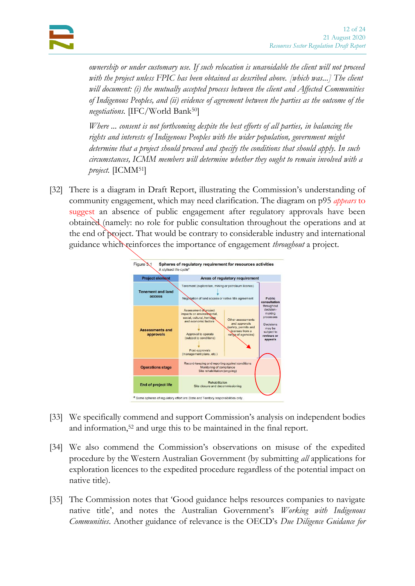*ownership or under customary use. If such relocation is unavoidable the client will not proceed with the project unless FPIC has been obtained as described above. [which was...] The client will document: (i) the mutually accepted process between the client and Affected Communities of Indigenous Peoples, and (ii) evidence of agreement between the parties as the outcome of the negotiations.* [IFC/World Bank50]

*Where ... consent is not forthcoming despite the best efforts of all parties, in balancing the rights and interests of Indigenous Peoples with the wider population, government might determine that a project should proceed and specify the conditions that should apply. In such circumstances, ICMM members will determine whether they ought to remain involved with a project.* [ICMM51]

<span id="page-11-0"></span>[32] There is a diagram in Draft Report, illustrating the Commission's understanding of community engagement, which may need clarification. The diagram on p95 *appears* to suggest an absence of public engagement after regulatory approvals have been obtained (namely: no role for public consultation throughout the operations and at the end of project. That would be contrary to considerable industry and international guidance which reinforces the importance of engagement *throughout* a project.



- [33] We specifically commend and support Commission's analysis on independent bodies and information,<sup>52</sup> and urge this to be maintained in the final report.
- [34] We also commend the Commission's observations on misuse of the expedited procedure by the Western Australian Government (by submitting *all* applications for exploration licences to the expedited procedure regardless of the potential impact on native title).
- [35] The Commission notes that 'Good guidance helps resources companies to navigate native title', and notes the Australian Government's *Working with Indigenous Communities*. Another guidance of relevance is the OECD's *Due Diligence Guidance for*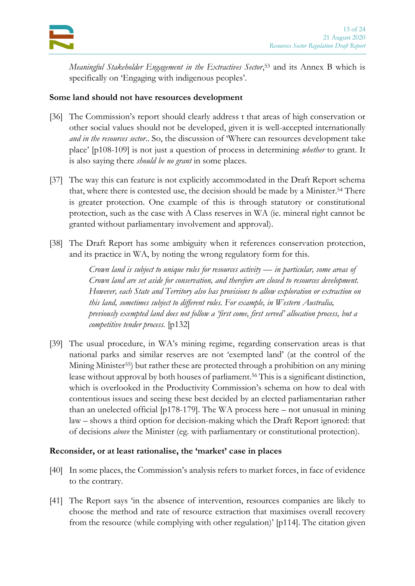

*Meaningful Stakeholder Engagement in the Extractives Sector*, <sup>53</sup> and its Annex B which is specifically on 'Engaging with indigenous peoples'.

#### <span id="page-12-2"></span>**Some land should not have resources development**

- <span id="page-12-0"></span>[36] The Commission's report should clearly address t that areas of high conservation or other social values should not be developed, given it is well-accepted internationally *and in the resources sector*.. So, the discussion of 'Where can resources development take place' [p108-109] is not just a question of process in determining *whether* to grant. It is also saying there *should be no grant* in some places.
- [37] The way this can feature is not explicitly accommodated in the Draft Report schema that, where there is contested use, the decision should be made by a Minister.<sup>54</sup> There is greater protection. One example of this is through statutory or constitutional protection, such as the case with A Class reserves in WA (ie. mineral right cannot be granted without parliamentary involvement and approval).
- [38] The Draft Report has some ambiguity when it references conservation protection, and its practice in WA, by noting the wrong regulatory form for this.

*Crown land is subject to unique rules for resources activity — in particular, some areas of Crown land are set aside for conservation, and therefore are closed to resources development. However, each State and Territory also has provisions to allow exploration or extraction on this land, sometimes subject to different rules. For example, in Western Australia, previously exempted land does not follow a 'first come, first served' allocation process, but a competitive tender process.* [p132]

<span id="page-12-1"></span>[39] The usual procedure, in WA's mining regime, regarding conservation areas is that national parks and similar reserves are not 'exempted land' (at the control of the Mining Minister55) but rather these are protected through a prohibition on any mining lease without approval by both houses of parliament.<sup>56</sup> This is a significant distinction, which is overlooked in the Productivity Commission's schema on how to deal with contentious issues and seeing these best decided by an elected parliamentarian rather than an unelected official [p178-179]. The WA process here – not unusual in mining law – shows a third option for decision-making which the Draft Report ignored: that of decisions *above* the Minister (eg. with parliamentary or constitutional protection).

#### <span id="page-12-3"></span>**Reconsider, or at least rationalise, the 'market' case in places**

- [40] In some places, the Commission's analysis refers to market forces, in face of evidence to the contrary.
- [41] The Report says 'in the absence of intervention, resources companies are likely to choose the method and rate of resource extraction that maximises overall recovery from the resource (while complying with other regulation)' [p114]. The citation given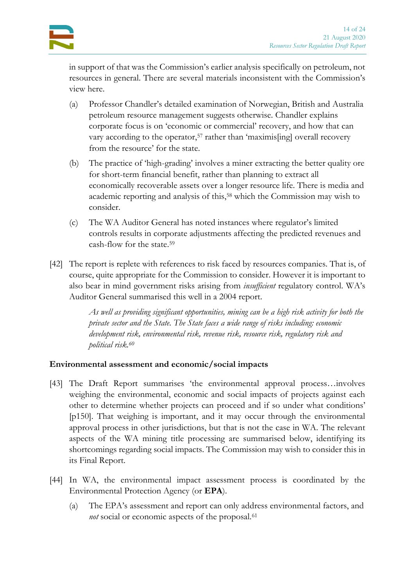in support of that was the Commission's earlier analysis specifically on petroleum, not resources in general. There are several materials inconsistent with the Commission's view here.

- (a) Professor Chandler's detailed examination of Norwegian, British and Australia petroleum resource management suggests otherwise. Chandler explains corporate focus is on 'economic or commercial' recovery, and how that can vary according to the operator,<sup>57</sup> rather than 'maximis[ing] overall recovery from the resource' for the state.
- (b) The practice of 'high-grading' involves a miner extracting the better quality ore for short-term financial benefit, rather than planning to extract all economically recoverable assets over a longer resource life. There is media and academic reporting and analysis of this,<sup>58</sup> which the Commission may wish to consider.
- <span id="page-13-1"></span>(c) The WA Auditor General has noted instances where regulator's limited controls results in corporate adjustments affecting the predicted revenues and cash-flow for the state.<sup>59</sup>
- [42] The report is replete with references to risk faced by resources companies. That is, of course, quite appropriate for the Commission to consider. However it is important to also bear in mind government risks arising from *insufficient* regulatory control. WA's Auditor General summarised this well in a 2004 report.

*As well as providing significant opportunities, mining can be a high risk activity for both the private sector and the State. The State faces a wide range of risks including: economic development risk, environmental risk, revenue risk, resource risk, regulatory risk and political risk.<sup>60</sup>*

## <span id="page-13-0"></span>**Environmental assessment and economic/social impacts**

- [43] The Draft Report summarises 'the environmental approval process…involves weighing the environmental, economic and social impacts of projects against each other to determine whether projects can proceed and if so under what conditions' [p150]. That weighing is important, and it may occur through the environmental approval process in other jurisdictions, but that is not the case in WA. The relevant aspects of the WA mining title processing are summarised below, identifying its shortcomings regarding social impacts. The Commission may wish to consider this in its Final Report.
- [44] In WA, the environmental impact assessment process is coordinated by the Environmental Protection Agency (or **EPA**).
	- (a) The EPA's assessment and report can only address environmental factors, and *not* social or economic aspects of the proposal.<sup>61</sup>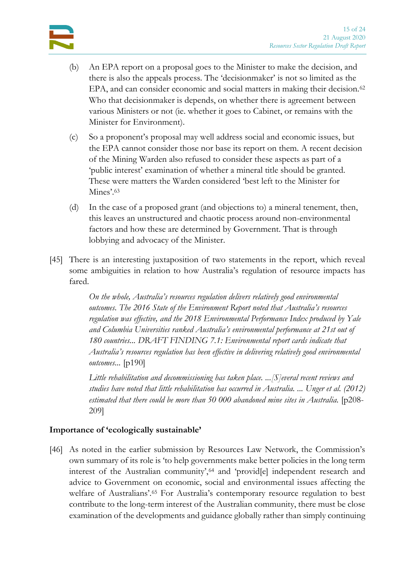

- (b) An EPA report on a proposal goes to the Minister to make the decision, and there is also the appeals process. The 'decisionmaker' is not so limited as the EPA, and can consider economic and social matters in making their decision.<sup>62</sup> Who that decisionmaker is depends, on whether there is agreement between various Ministers or not (ie. whether it goes to Cabinet, or remains with the Minister for Environment).
- (c) So a proponent's proposal may well address social and economic issues, but the EPA cannot consider those nor base its report on them. A recent decision of the Mining Warden also refused to consider these aspects as part of a 'public interest' examination of whether a mineral title should be granted. These were matters the Warden considered 'best left to the Minister for Mines'.<sup>63</sup>
- (d) In the case of a proposed grant (and objections to) a mineral tenement, then, this leaves an unstructured and chaotic process around non-environmental factors and how these are determined by Government. That is through lobbying and advocacy of the Minister.
- [45] There is an interesting juxtaposition of two statements in the report, which reveal some ambiguities in relation to how Australia's regulation of resource impacts has fared.

*On the whole, Australia's resources regulation delivers relatively good environmental outcomes. The 2016 State of the Environment Report noted that Australia's resources regulation was effective, and the 2018 Environmental Performance Index produced by Yale and Columbia Universities ranked Australia's environmental performance at 21st out of 180 countries... DRAFT FINDING 7.1: Environmental report cards indicate that Australia's resources regulation has been effective in delivering relatively good environmental outcomes...* [p190]

*Little rehabilitation and decommissioning has taken place. ...[S]everal recent reviews and studies have noted that little rehabilitation has occurred in Australia. ... Unger et al. (2012) estimated that there could be more than 50 000 abandoned mine sites in Australia.* [p208- 209]

#### <span id="page-14-0"></span>**Importance of 'ecologically sustainable'**

[46] As noted in the earlier submission by Resources Law Network, the Commission's own summary of its role is 'to help governments make better policies in the long term interest of the Australian community',<sup>64</sup> and 'provid<sup>[e]</sup> independent research and advice to Government on economic, social and environmental issues affecting the welfare of Australians'.<sup>65</sup> For Australia's contemporary resource regulation to best contribute to the long-term interest of the Australian community, there must be close examination of the developments and guidance globally rather than simply continuing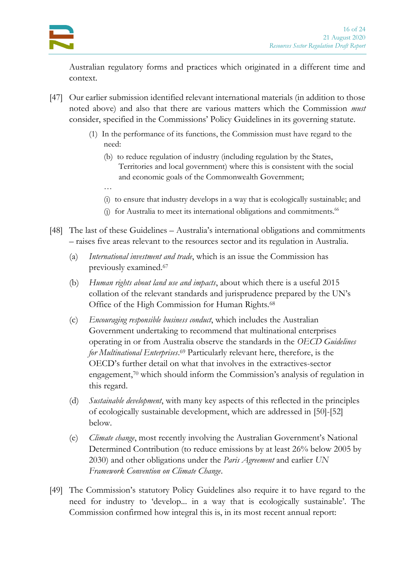…

Australian regulatory forms and practices which originated in a different time and context.

- <span id="page-15-0"></span>[47] Our earlier submission identified relevant international materials (in addition to those noted above) and also that there are various matters which the Commission *must* consider, specified in the Commissions' Policy Guidelines in its governing statute.
	- (1) In the performance of its functions, the Commission must have regard to the need:
		- (b) to reduce regulation of industry (including regulation by the States, Territories and local government) where this is consistent with the social and economic goals of the Commonwealth Government;
		- (i) to ensure that industry develops in a way that is ecologically sustainable; and
		- (j) for Australia to meet its international obligations and commitments. $66$
- [48] The last of these Guidelines Australia's international obligations and commitments – raises five areas relevant to the resources sector and its regulation in Australia.
	- (a) *International investment and trade*, which is an issue the Commission has previously examined.<sup>67</sup>
	- (b) *Human rights about land use and impacts*, about which there is a useful 2015 collation of the relevant standards and jurisprudence prepared by the UN's Office of the High Commission for Human Rights.<sup>68</sup>
	- (c) *Encouraging responsible business conduct*, which includes the Australian Government undertaking to recommend that multinational enterprises operating in or from Australia observe the standards in the *OECD Guidelines for Multinational Enterprises*. <sup>69</sup> Particularly relevant here, therefore, is the OECD's further detail on what that involves in the extractives-sector engagement,<sup>70</sup> which should inform the Commission's analysis of regulation in this regard.
	- (d) *Sustainable development*, with many key aspects of this reflected in the principles of ecologically sustainable development, which are addressed in [\[50\]](#page-16-1)[-\[52\]](#page-16-0) below.
	- (e) *Climate change*, most recently involving the Australian Government's National Determined Contribution (to reduce emissions by at least 26% below 2005 by 2030) and other obligations under the *Paris Agreement* and earlier *UN Framework Convention on Climate Change*.
- [49] The Commission's statutory Policy Guidelines also require it to have regard to the need for industry to 'develop... in a way that is ecologically sustainable'. The Commission confirmed how integral this is, in its most recent annual report: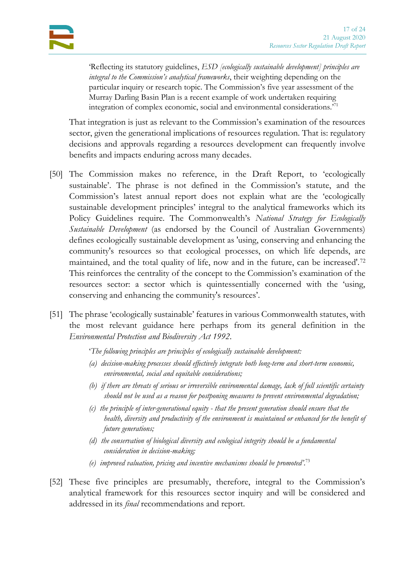'Reflecting its statutory guidelines, *ESD [ecologically sustainable development] principles are integral to the Commission's analytical frameworks*, their weighting depending on the particular inquiry or research topic. The Commission's five year assessment of the Murray Darling Basin Plan is a recent example of work undertaken requiring integration of complex economic, social and environmental considerations.'<sup>71</sup>

That integration is just as relevant to the Commission's examination of the resources sector, given the generational implications of resources regulation. That is: regulatory decisions and approvals regarding a resources development can frequently involve benefits and impacts enduring across many decades.

- <span id="page-16-1"></span>[50] The Commission makes no reference, in the Draft Report, to 'ecologically sustainable'. The phrase is not defined in the Commission's statute, and the Commission's latest annual report does not explain what are the 'ecologically sustainable development principles' integral to the analytical frameworks which its Policy Guidelines require. The Commonwealth's *National Strategy for Ecologically Sustainable Development* (as endorsed by the Council of Australian Governments) defines ecologically sustainable development as 'using, conserving and enhancing the community's resources so that ecological processes, on which life depends, are maintained, and the total quality of life, now and in the future, can be increased'.<sup>72</sup> This reinforces the centrality of the concept to the Commission's examination of the resources sector: a sector which is quintessentially concerned with the 'using, conserving and enhancing the community's resources'.
- [51] The phrase 'ecologically sustainable' features in various Commonwealth statutes, with the most relevant guidance here perhaps from its general definition in the *Environmental Protection and Biodiversity Act 1992*.
	- '*The following principles are principles of ecologically sustainable development:*
	- *(a) decision-making processes should effectively integrate both long-term and short-term economic, environmental, social and equitable considerations;*
	- *(b) if there are threats of serious or irreversible environmental damage, lack of full scientific certainty should not be used as a reason for postponing measures to prevent environmental degradation;*
	- *(c) the principle of inter-generational equity - that the present generation should ensure that the health, diversity and productivity of the environment is maintained or enhanced for the benefit of future generations;*
	- *(d) the conservation of biological diversity and ecological integrity should be a fundamental consideration in decision-making;*
	- *(e) improved valuation, pricing and incentive mechanisms should be promoted'*. 73
- <span id="page-16-0"></span>[52] These five principles are presumably, therefore, integral to the Commission's analytical framework for this resources sector inquiry and will be considered and addressed in its *final* recommendations and report.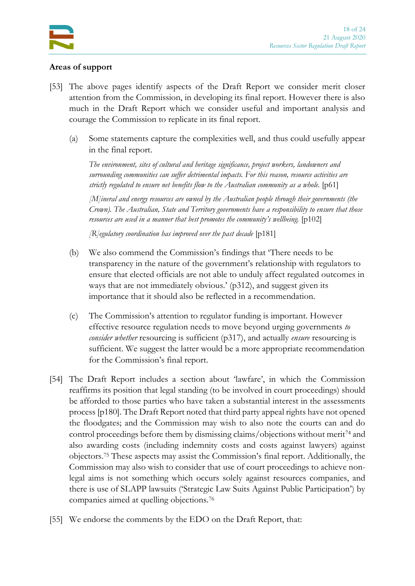

### <span id="page-17-2"></span>**Areas of support**

- <span id="page-17-0"></span>[53] The above pages identify aspects of the Draft Report we consider merit closer attention from the Commission, in developing its final report. However there is also much in the Draft Report which we consider useful and important analysis and courage the Commission to replicate in its final report.
	- (a) Some statements capture the complexities well, and thus could usefully appear in the final report.

*The environment, sites of cultural and heritage significance, project workers, landowners and surrounding communities can suffer detrimental impacts. For this reason, resource activities are strictly regulated to ensure net benefits flow to the Australian community as a whole.* [p61]

*[M]ineral and energy resources are owned by the Australian people through their governments (the Crown). The Australian, State and Territory governments have a responsibility to ensure that those resources are used in a manner that best promotes the community's wellbeing.* [p102]

*[R]egulatory coordination has improved over the past decade* [p181]

- (b) We also commend the Commission's findings that 'There needs to be transparency in the nature of the government's relationship with regulators to ensure that elected officials are not able to unduly affect regulated outcomes in ways that are not immediately obvious.' (p312), and suggest given its importance that it should also be reflected in a recommendation.
- (c) The Commission's attention to regulator funding is important. However effective resource regulation needs to move beyond urging governments *to consider whether* resourcing is sufficient (p317), and actually *ensure* resourcing is sufficient. We suggest the latter would be a more appropriate recommendation for the Commission's final report.
- [54] The Draft Report includes a section about 'lawfare', in which the Commission reaffirms its position that legal standing (to be involved in court proceedings) should be afforded to those parties who have taken a substantial interest in the assessments process [p180]. The Draft Report noted that third party appeal rights have not opened the floodgates; and the Commission may wish to also note the courts can and do control proceedings before them by dismissing claims/objections without merit<sup>74</sup> and also awarding costs (including indemnity costs and costs against lawyers) against objectors.<sup>75</sup> These aspects may assist the Commission's final report. Additionally, the Commission may also wish to consider that use of court proceedings to achieve nonlegal aims is not something which occurs solely against resources companies, and there is use of SLAPP lawsuits ('Strategic Law Suits Against Public Participation') by companies aimed at quelling objections.<sup>76</sup>
- <span id="page-17-1"></span>[55] We endorse the comments by the EDO on the Draft Report, that: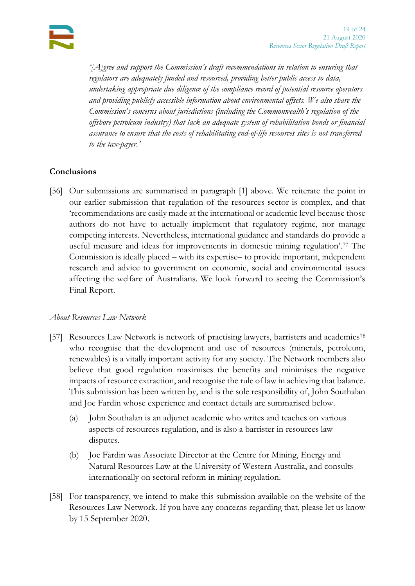*'[A]gree and support the Commission's draft recommendations in relation to ensuring that regulators are adequately funded and resourced, providing better public access to data, undertaking appropriate due diligence of the compliance record of potential resource operators and providing publicly accessible information about environmental offsets. We also share the Commission's concerns about jurisdictions (including the Commonwealth's regulation of the offshore petroleum industry) that lack an adequate system of rehabilitation bonds or financial assurance to ensure that the costs of rehabilitating end-of-life resources sites is not transferred to the tax-payer.'*

# <span id="page-18-0"></span>**Conclusions**

[56] Our submissions are summarised in paragraph [1] above. We reiterate the point in our earlier submission that regulation of the resources sector is complex, and that 'recommendations are easily made at the international or academic level because those authors do not have to actually implement that regulatory regime, nor manage competing interests. Nevertheless, international guidance and standards do provide a useful measure and ideas for improvements in domestic mining regulation'.<sup>77</sup> The Commission is ideally placed – with its expertise– to provide important, independent research and advice to government on economic, social and environmental issues affecting the welfare of Australians. We look forward to seeing the Commission's Final Report.

## *About Resources Law Network*

- [57] Resources Law Network is network of practising lawyers, barristers and academics<sup>78</sup> who recognise that the development and use of resources (minerals, petroleum, renewables) is a vitally important activity for any society. The Network members also believe that good regulation maximises the benefits and minimises the negative impacts of resource extraction, and recognise the rule of law in achieving that balance. This submission has been written by, and is the sole responsibility of, John Southalan and Joe Fardin whose experience and contact details are summarised below.
	- (a) John Southalan is an adjunct academic who writes and teaches on various aspects of resources regulation, and is also a barrister in resources law disputes.
	- (b) Joe Fardin was Associate Director at the Centre for Mining, Energy and Natural Resources Law at the University of Western Australia, and consults internationally on sectoral reform in mining regulation.
- [58] For transparency, we intend to make this submission available on the website of the Resources Law Network. If you have any concerns regarding that, please let us know by 15 September 2020.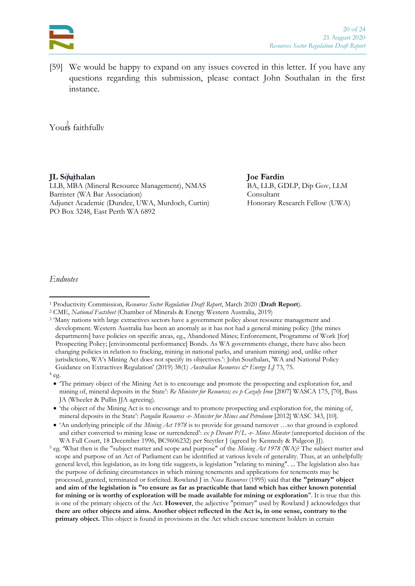

[59] We would be happy to expand on any issues covered in this letter. If you have any questions regarding this submission, please contact John Southalan in the first instance.

Yours faithfully

**JL Southalan Joe Fardin**

LLB, MBA (Mineral Resource Management), NMAS BA, LLB, GDLP, Dip Gov, LLM Barrister (WA Bar Association) Consultant Adjunct Academic (Dundee, UWA, Murdoch, Curtin) Honorary Research Fellow (UWA) PO Box 3248, East Perth WA 6892

*Endnotes*

<sup>1</sup> Productivity Commission, *Resources Sector Regulation Draft Report*, March 2020 (**Draft Report**).

<sup>2</sup> CME, *National Factsheet* (Chamber of Minerals & Energy Western Australia, 2019)

<sup>&</sup>lt;sup>3</sup> 'Many nations with large extractives sectors have a government policy about resource management and development. Western Australia has been an anomaly as it has not had a general mining policy ([the mines departments] have policies on specific areas, eg., Abandoned Mines; Enforcement, Programme of Work [for] Prospecting Policy; [environmental performance] Bonds. As WA governments change, there have also been changing policies in relation to fracking, mining in national parks, and uranium mining) and, unlike other jurisdictions, WA's Mining Act does not specify its objectives.': John Southalan, 'WA and National Policy Guidance on Extractives Regulation' (2019) 38(1) *Australian Resources & Energy LJ* 73, 75.

<sup>4</sup> eg.

<sup>•</sup> 'The primary object of the Mining Act is to encourage and promote the prospecting and exploration for, and mining of, mineral deposits in the State': *Re Minister for Resources; ex p Cazaly Iron* [2007] WASCA 175, [70], Buss JA (Wheeler & Pullin JJA agreeing).

<sup>•</sup> 'the object of the Mining Act is to encourage and to promote prospecting and exploration for, the mining of, mineral deposits in the State': *Pangolin Resources -v- Minister for Mines and Petroleum* [2012] WASC 343, [10].

<sup>• &#</sup>x27;An underlying principle of the *Mining Act 1978* is to provide for ground turnover ...so that ground is explored and either converted to mining lease or surrendered': *ex p Devant P/L -v- Mines Minster* (unreported decision of the WA Full Court, 18 December 1996, BC9606232) per Steytler J (agreed by Kennedy & Pidgeon JJ).

<sup>5</sup> eg. 'What then is the "subject matter and scope and purpose" of the *Mining Act 1978* (WA)? The subject matter and scope and purpose of an Act of Parliament can be identified at various levels of generality. Thus, at an unhelpfully general level, this legislation, as its long title suggests, is legislation "relating to mining". ... The legislation also has the purpose of defining circumstances in which mining tenements and applications for tenements may be processed, granted, terminated or forfeited. Rowland J in *Nova Resources* (1995) said that **the "primary" object and aim of the legislation is "to ensure as far as practicable that land which has either known potential for mining or is worthy of exploration will be made available for mining or exploration**". It is true that this is one of the primary objects of the Act. **However**, the adjective "primary" used by Rowland J acknowledges that **there are other objects and aims. Another object reflected in the Act is, in one sense, contrary to the primary object.** This object is found in provisions in the Act which excuse tenement holders in certain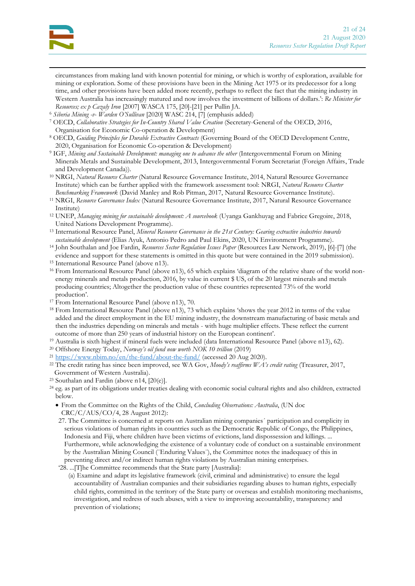

circumstances from making land with known potential for mining, or which is worthy of exploration, available for mining or exploration. Some of these provisions have been in the Mining Act 1975 or its predecessor for a long time, and other provisions have been added more recently, perhaps to reflect the fact that the mining industry in Western Australia has increasingly matured and now involves the investment of billions of dollars.': *Re Minister for Resources; ex p Cazaly Iron* [2007] WASCA 175, [20]-[21] per Pullin JA.

- <sup>6</sup> *Siberia Mining -v- Warden O'Sullivan* [2020] WASC 214, [7] (emphasis added)
- <sup>7</sup> OECD, *Collaborative Strategies for In-Country Shared Value Creation* (Secretary-General of the OECD, 2016, Organisation for Economic Co-operation & Development)
- <sup>8</sup> OECD, *Guiding Principles for Durable Extractive Contracts* (Governing Board of the OECD Development Centre, 2020, Organisation for Economic Co-operation & Development)
- <sup>9</sup> IGF, *Mining and Sustainable Development: managing one to advance the other* (Intergovernmental Forum on Mining Minerals Metals and Sustainable Development, 2013, Intergovernmental Forum Secretariat (Foreign Affairs, Trade and Development Canada)).
- <sup>10</sup> NRGI, *Natural Resource Charter* (Natural Resource Governance Institute, 2014, Natural Resource Governance Institute) which can be further applied with the framework assessment tool: NRGI, *Natural Resource Charter Benchmarking Framework* (David Manley and Rob Pitman, 2017, Natural Resource Governance Institute).
- <sup>11</sup> NRGI, *Resource Governance Index* (Natural Resource Governance Institute, 2017, Natural Resource Governance Institute)
- <sup>12</sup> UNEP, *Managing mining for sustainable development: A sourcebook* (Uyanga Gankhuyag and Fabrice Gregoire, 2018, United Nations Development Programme).
- <sup>13</sup> International Resource Panel, *Mineral Resource Governance in the 21st Century: Gearing extractive industries towards sustainable development* (Elias Ayuk, Antonio Pedro and Paul Ekins, 2020, UN Environment Programme).
- <sup>14</sup> John Southalan and Joe Fardin, *Resources Sector Regulation Issues Paper* (Resources Law Network, 2019), [6]-[7] (the evidence and support for these statements is omitted in this quote but were contained in the 2019 submission).
- <sup>15</sup> International Resource Panel (above [n13\)](#page-3-3).
- <sup>16</sup> From International Resource Panel (above [n13\)](#page-3-3), 65 which explains 'diagram of the relative share of the world nonenergy minerals and metals production, 2016, by value in current \$ US, of the 20 largest minerals and metals producing countries; Altogether the production value of these countries represented 73% of the world production'.
- <sup>17</sup> From International Resource Panel (above [n13\)](#page-3-3), 70.
- <sup>18</sup> From International Resource Panel (above [n13\)](#page-3-3), 73 which explains 'shows the year 2012 in terms of the value added and the direct employment in the EU mining industry, the downstream manufacturing of basic metals and then the industries depending on minerals and metals - with huge multiplier effects. These reflect the current outcome of more than 250 years of industrial history on the European continent'.
- <sup>19</sup> Australia is sixth highest if mineral fuels were included (data International Resource Panel (above [n13\)](#page-3-3), 62).
- <sup>20</sup> Offshore Energy Today, *Norway's oil fund now worth NOK 10 trillion* (2019)
- <sup>21</sup> <https://www.nbim.no/en/the-fund/about-the-fund/> (accessed 20 Aug 2020).
- <sup>22</sup> The credit rating has since been improved, see WA Gov, *Moody's reaffirms WA's credit rating* (Treasurer, 2017, Government of Western Australia).
- <sup>23</sup> Southalan and Fardin (above [n14,](#page-4-0) [20(e)].
- <sup>24</sup> eg. as part of its obligations under treaties dealing with economic social cultural rights and also children, extracted below.
	- From the Committee on the Rights of the Child, *Concluding Observations: Australia*, (UN doc CRC/C/AUS/CO/4, 28 August 2012):
	- 27. The Committee is concerned at reports on Australian mining companies´ participation and complicity in serious violations of human rights in countries such as the Democratic Republic of Congo, the Philippines, Indonesia and Fiji, where children have been victims of evictions, land dispossession and killings. ... Furthermore, while acknowledging the existence of a voluntary code of conduct on a sustainable environment by the Australian Mining Council (¨Enduring Values¨), the Committee notes the inadequacy of this in preventing direct and/or indirect human rights violations by Australian mining enterprises. '28. ...[T]he Committee recommends that the State party [Australia]:
		- (a) Examine and adapt its legislative framework (civil, criminal and administrative) to ensure the legal accountability of Australian companies and their subsidiaries regarding abuses to human rights, especially child rights, committed in the territory of the State party or overseas and establish monitoring mechanisms, investigation, and redress of such abuses, with a view to improving accountability, transparency and prevention of violations;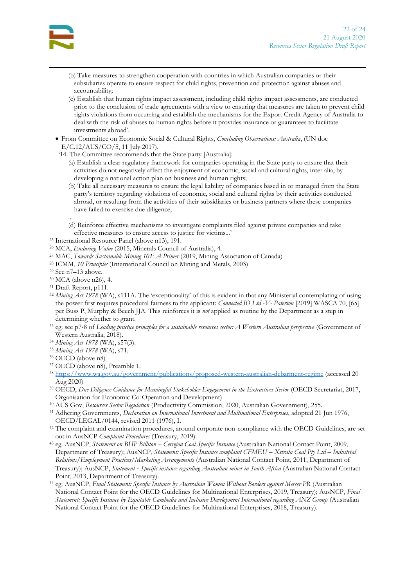- (b) Take measures to strengthen cooperation with countries in which Australian companies or their subsidiaries operate to ensure respect for child rights, prevention and protection against abuses and accountability;
- (c) Establish that human rights impact assessment, including child rights impact assessments, are conducted prior to the conclusion of trade agreements with a view to ensuring that measures are taken to prevent child rights violations from occurring and establish the mechanisms for the Export Credit Agency of Australia to deal with the risk of abuses to human rights before it provides insurance or guarantees to facilitate investments abroad'.
- From Committee on Economic Social & Cultural Rights, *Concluding Observations: Australia*, (UN doc E/C.12/AUS/CO/5, 11 July 2017).
- '14. The Committee recommends that the State party [Australia]:
	- (a) Establish a clear regulatory framework for companies operating in the State party to ensure that their activities do not negatively affect the enjoyment of economic, social and cultural rights, inter alia, by developing a national action plan on business and human rights;
	- (b) Take all necessary measures to ensure the legal liability of companies based in or managed from the State party's territory regarding violations of economic, social and cultural rights by their activities conducted abroad, or resulting from the activities of their subsidiaries or business partners where these companies have failed to exercise due diligence;
	- ... (d) Reinforce effective mechanisms to investigate complaints filed against private companies and take effective measures to ensure access to justice for victims...'
- <sup>25</sup> International Resource Panel (above [n13\)](#page-3-3), 191.
- <sup>26</sup> MCA, *Enduring Value* (2015, Minerals Council of Australia), 4.
- <sup>27</sup> MAC, *Towards Sustainable Mining 101: A Primer* (2019, Mining Association of Canada)
- <sup>28</sup> ICMM, *10 Principles* (International Council on Mining and Metals, 2003)
- <sup>29</sup> See [n7](#page-3-4)–[13](#page-3-3) above.
- <sup>30</sup> MCA (above [n26\)](#page-7-1), 4.
- <sup>31</sup> Draft Report, p111.
- <sup>32</sup> *Mining Act 1978* (WA), s111A. The 'exceptionality' of this is evident in that any Ministerial contemplating of using the power first requires procedural fairness to the applicant: *Connected IO Ltd -V- Paterson* [2019] WASCA 70, [65] per Buss P, Murphy & Beech JJA. This reinforces it is *not* applied as routine by the Department as a step in determining whether to grant.
- <sup>33</sup> eg. see p7-8 of *Leading practice principles for a sustainable resources sector: A Western Australian perspective* (Government of Western Australia, 2018).
- <sup>34</sup> *Mining Act 1978* (WA), s57(3).
- <sup>35</sup> *Mining Act 1978* (WA), s71.
- <sup>36</sup> OECD (above [n8\)](#page-3-5)
- <sup>37</sup> OECD (above [n8\)](#page-3-5), Preamble 1.
- <sup>38</sup> <https://www.wa.gov.au/government/publications/proposed-western-australian-debarment-regime> (accessed 20 Aug 2020)
- <sup>39</sup> OECD, *Due Diligence Guidance for Meaningful Stakeholder Engagement in the Extractives Sector* (OECD Secretariat, 2017, Organisation for Economic Co-Operation and Development)
- <sup>40</sup> AUS Gov, *Resources Sector Regulation* (Productivity Commission, 2020, Australian Government), 255.
- <sup>41</sup> Adhering Governments, *Declaration on International Investment and Multinational Enterprises*, adopted 21 Jun 1976, OECD/LEGAL/0144, revised 2011 (1976), I.
- <sup>42</sup> The complaint and examination procedures, around corporate non-compliance with the OECD Guidelines, are set out in AusNCP *Complaint Procedures* (Treasury, 2019).
- <sup>43</sup> eg. AusNCP, *Statement on BHP Billiton – Cerrejon Coal Specific Instance* (Australian National Contact Point, 2009, Department of Treasury); AusNCP, *Statement: Specific Instance complaint CFMEU – Xstrata Coal Pty Ltd – Industrial Relations/Employment Practices/Marketing Arrangements* (Australian National Contact Point, 2011, Department of Treasury); AusNCP, *Statement ‑ Specific instance regarding Australian miner in South Africa* (Australian National Contact Point, 2013, Department of Treasury).
- <sup>44</sup> eg. AusNCP, *Final Statement: Specific Instance by Australian Women Without Borders against Mercer PR* (Australian National Contact Point for the OECD Guidelines for Multinational Enterprises, 2019, Treasury); AusNCP, *Final Statement: Specific Instance by Equitable Cambodia and Inclusive Development International regarding ANZ Group* (Australian National Contact Point for the OECD Guidelines for Multinational Enterprises, 2018, Treasury).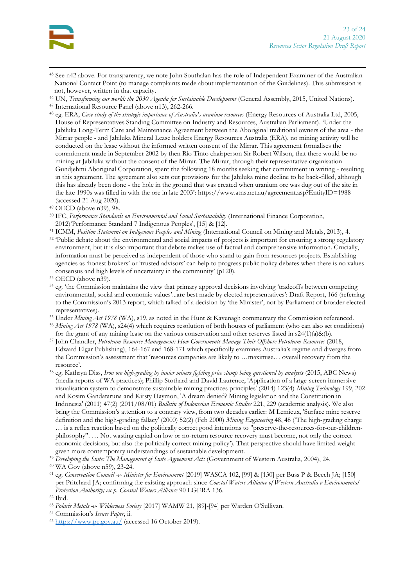

- <sup>45</sup> See [n42](#page-9-4) above. For transparency, we note John Southalan has the role of Independent Examiner of the Australian National Contact Point (to manage complaints made about implementation of the Guidelines). This submission is not, however, written in that capacity.
- <sup>46</sup> UN, *Transforming our world: the 2030 Agenda for Sustainable Development* (General Assembly, 2015, United Nations).
- <sup>47</sup> International Resource Panel (above [n13\)](#page-3-3), 262-266.
- <sup>48</sup> eg. ERA, *Case study of the strategic importance of Australia's uranium resources* (Energy Resources of Australia Ltd, 2005, House of Representatives Standing Committee on Industry and Resources, Australian Parliament). 'Under the Jabiluka Long-Term Care and Maintenance Agreement between the Aboriginal traditional owners of the area - the Mirrar people - and Jabiluka Mineral Lease holders Energy Resources Australia (ERA), no mining activity will be conducted on the lease without the informed written consent of the Mirrar. This agreement formalises the commitment made in September 2002 by then Rio Tinto chairperson Sir Robert Wilson, that there would be no mining at Jabiluka without the consent of the Mirrar. The Mirrar, through their representative organisation Gundjehmi Aboriginal Corporation, spent the following 18 months seeking that commitment in writing - resulting in this agreement. The agreement also sets out provisions for the Jabiluka mine decline to be back-filled, although this has already been done - the hole in the ground that was created when uranium ore was dug out of the site in the late 1990s was filled in with the ore in late 2003': https://www.atns.net.au/agreement.asp?EntityID=1988 (accessed 21 Aug 2020).
- <sup>49</sup> OECD (above [n39\)](#page-9-5), 98.
- <sup>50</sup> IFC, *Performance Standards on Environmental and Social Sustainability* (International Finance Corporation, 2012)'Performance Standard 7 Indigenous Peoples', [15] & [12].
- <sup>51</sup> ICMM, *Position Statement on Indigenous Peoples and Mining* (International Council on Mining and Metals, 2013), 4.
- <sup>52</sup> 'Public debate about the environmental and social impacts of projects is important for ensuring a strong regulatory environment, but it is also important that debate makes use of factual and comprehensive information. Crucially, information must be perceived as independent of those who stand to gain from resources projects. Establishing agencies as 'honest brokers' or 'trusted advisors' can help to progress public policy debates when there is no values consensus and high levels of uncertainty in the community' (p120).
- <sup>53</sup> OECD (above [n39\)](#page-9-5).
- <sup>54</sup> eg. 'the Commission maintains the view that primary approval decisions involving 'tradeoffs between competing environmental, social and economic values'...are best made by elected representatives': Draft Report, 166 (referring to the Commission's 2013 report, which talked of a decision by 'the Minister', not by Parliament of broader elected representatives).
- <sup>55</sup> Under *Mining Act 1978* (WA), s19, as noted in the Hunt & Kavenagh commentary the Commission referenced.
- <sup>56</sup> *Mining Act 1978* (WA), s24(4) which requires resolution of both houses of parliament (who can also set conditions) for the grant of any mining lease on the various conservation and other reserves listed in  $s24(1)(a)\&(b)$ .
- <sup>57</sup> John Chandler, *Petroleum Resource Management: How Governments Manage Their Offshore Petroleum Resources* (2018, Edward Elgar Publishing), 164-167 and 168-171 which specifically examines Australia's regime and diverges from the Commission's assessment that 'resources companies are likely to …maximise… overall recovery from the resource'.
- <sup>58</sup> eg. Kathryn Diss, *Iron ore high-grading by junior miners fighting price slump being questioned by analysts* (2015, ABC News) (media reports of WA practices); Phillip Stothard and David Laurence, 'Application of a large-screen immersive visualisation system to demonstrate sustainable mining practices principles' (2014) 123(4) *Mining Technology* 199, 202 and Kosim Gandataruna and Kirsty Haymon, 'A dream denied? Mining legislation and the Constitution in Indonesia' (2011) 47(2) (2011/08/01) *Bulletin of Indonesian Economic Studies* 221, 229 (academic analysis). We also bring the Commission's attention to a contrary view, from two decades earlier: M Lemieux, 'Surface mine reserve definition and the high-grading fallacy' (2000) 52(2) (Feb 2000) *Mining Engineering* 48, 48 ('The high-grading charge … is a reflex reaction based on the politically correct good intentions to "preserve-the-resources-for-our-childrenphilosophy". … Not wasting capital on low or no-return resource recovery must become, not only the correct economic decisions, but also the politically correct mining policy'). That perspective should have limited weight given more contemporary understandings of sustainable development.
- <sup>59</sup> *Developing the State: The Management of State Agreement Acts* (Government of Western Australia, 2004), 24.
- <sup>60</sup> WA Gov (above [n59\)](#page-13-1), 23-24.
- <sup>61</sup> eg. *Conservation Council -v- Minister for Environment* [2019] WASCA 102, [99] & [130] per Buss P & Beech JA; [150] per Pritchard JA; confirming the existing approach since *Coastal Waters Alliance of Western Australia v Environmental Protection Authority; ex p. Coastal Waters Alliance* 90 LGERA 136.

- <sup>63</sup> *Polaris Metals -v- Wilderness Society* [2017] WAMW 21, [89]-[94] per Warden O'Sullivan.
- <sup>64</sup> Commission's *Issues Paper*, ii.
- <sup>65</sup> <https://www.pc.gov.au/> (accessed 16 October 2019).

<sup>62</sup> Ibid.